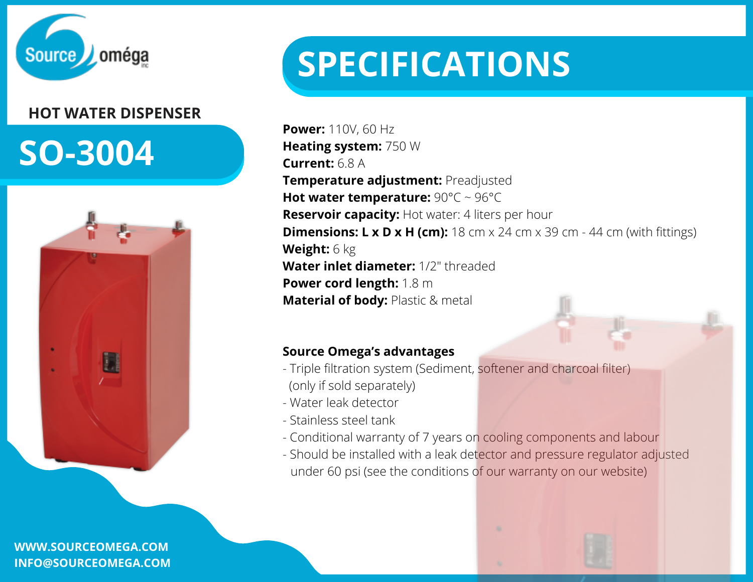

# **HOT WATER DISPENSER**

# **SO-3004**



**WWW.SOURCEOMEGA.COM INFO@SOURCEOMEGA.COM**

# **SPECIFICATIONS**

**Power:** 110V, 60 Hz **Heating system:** 750 W **Current:** 6.8 A **Temperature adjustment:** Preadjusted **Hot water temperature:** 90°C ~ 96°C **Reservoir capacity:** Hot water: 4 liters per hour **Dimensions: L x D x H (cm):** 18 cm x 24 cm x 39 cm - 44 cm (with fittings) **Weight:** 6 kg **Water inlet diameter:** 1/2" threaded **Power cord length:** 1.8 m **Material of body:** Plastic & metal

### **Source Omega's advantages**

- Triple [filtration](https://sourceomega.com/en/filtration-system/) system (Sediment, softener and charcoal filter) (only if sold separately)
- Water leak detector
- Stainless steel tank
- Conditional warranty of 7 years on cooling components and labour
- Should be installed with a leak detector and pressure regulator adjusted under 60 psi (see the conditions of our warranty on our website)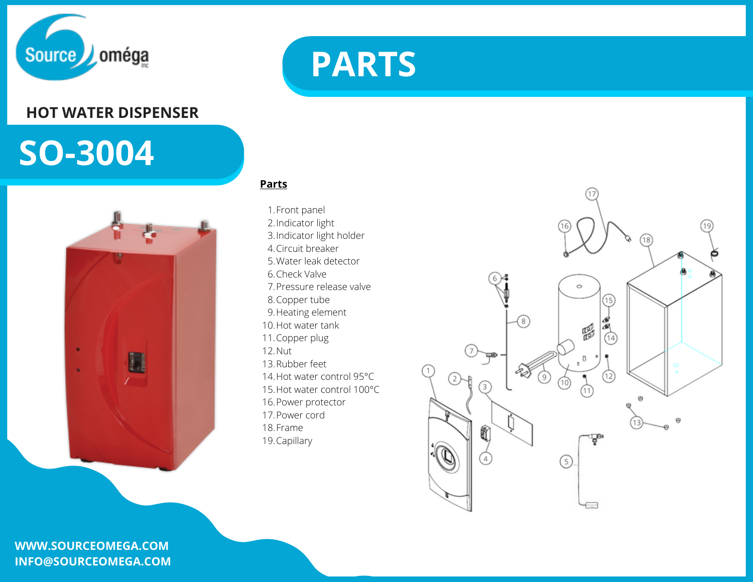

### **HOT WATER DISPENSER**

# **SO-3004**



#### **WWW.SOURCEOMEGA.COM INFO@SOURCEOMEGA.COM**



#### **Parts**

1. Front panel 2.Indicator light 3. Indicator light holder 4. Circuit breaker Water leak detector 5. 6. Check Valve Pressure release valve 7. 8. Copper tube 9. Heating element 10. Hot water tank 11. Copper plug 12. Nut 13. Rubber feet 14. Hot water control 95°C 15. Hot water control 100°C 16. Power protector 17. Power cord 18. Frame 19. Capillary